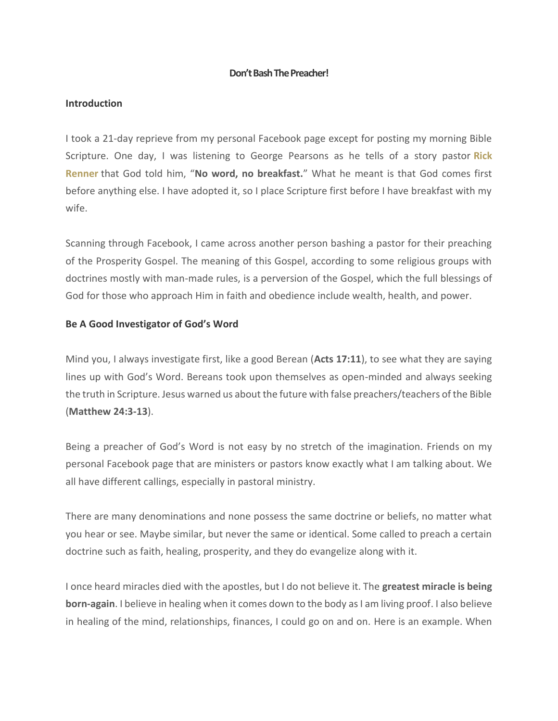## **Don't Bash The Preacher!**

### **Introduction**

I took a 21-day reprieve from my personal Facebook page except for posting my morning Bible Scripture. One day, I was listening to George Pearsons as he tells of a story pastor **[Rick](https://renner.org/) [Renner](https://renner.org/)** that God told him, "**No word, no breakfast.**" What he meant is that God comes first before anything else. I have adopted it, so I place Scripture first before I have breakfast with my wife.

Scanning through Facebook, I came across another person bashing a pastor for their preaching of the Prosperity Gospel. The meaning of this Gospel, according to some religious groups with doctrines mostly with man-made rules, is a perversion of the Gospel, which the full blessings of God for those who approach Him in faith and obedience include wealth, health, and power.

### **Be A Good Investigator of God's Word**

Mind you, I always investigate first, like a good Berean (**Acts 17:11**), to see what they are saying lines up with God's Word. Bereans took upon themselves as open-minded and always seeking the truth in Scripture. Jesus warned us about the future with false preachers/teachers of the Bible (**Matthew 24:3-13**).

Being a preacher of God's Word is not easy by no stretch of the imagination. Friends on my personal Facebook page that are ministers or pastors know exactly what I am talking about. We all have different callings, especially in pastoral ministry.

There are many denominations and none possess the same doctrine or beliefs, no matter what you hear or see. Maybe similar, but never the same or identical. Some called to preach a certain doctrine such as faith, healing, prosperity, and they do evangelize along with it.

I once heard miracles died with the apostles, but I do not believe it. The **greatest miracle is being born-again**. I believe in healing when it comes down to the body as I am living proof. I also believe in healing of the mind, relationships, finances, I could go on and on. Here is an example. When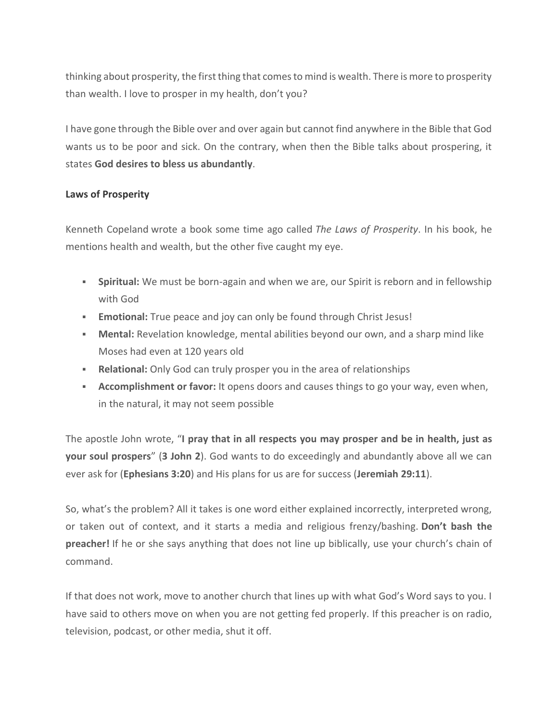thinking about prosperity, the first thing that comes to mind is wealth. There is more to prosperity than wealth. I love to prosper in my health, don't you?

I have gone through the Bible over and over again but cannot find anywhere in the Bible that God wants us to be poor and sick. On the contrary, when then the Bible talks about prospering, it states **God desires to bless us abundantly**.

# **Laws of Prosperity**

Kenneth Copeland wrote a book some time ago called *The Laws of Prosperity*. In his book, he mentions health and wealth, but the other five caught my eye.

- **EXED Spiritual:** We must be born-again and when we are, our Spirit is reborn and in fellowship with God
- **Emotional:** True peace and joy can only be found through Christ Jesus!
- **Mental:** Revelation knowledge, mental abilities beyond our own, and a sharp mind like Moses had even at 120 years old
- **EXEL A. Relational:** Only God can truly prosper you in the area of relationships
- **Accomplishment or favor:** It opens doors and causes things to go your way, even when, in the natural, it may not seem possible

The apostle John wrote, "**I pray that in all respects you may prosper and be in health, just as your soul prospers**" (**3 John 2**). God wants to do exceedingly and abundantly above all we can ever ask for (**Ephesians 3:20**) and His plans for us are for success (**Jeremiah 29:11**).

So, what's the problem? All it takes is one word either explained incorrectly, interpreted wrong, or taken out of context, and it starts a media and religious frenzy/bashing. **Don't bash the preacher!** If he or she says anything that does not line up biblically, use your church's chain of command.

If that does not work, move to another church that lines up with what God's Word says to you. I have said to others move on when you are not getting fed properly. If this preacher is on radio, television, podcast, or other media, shut it off.